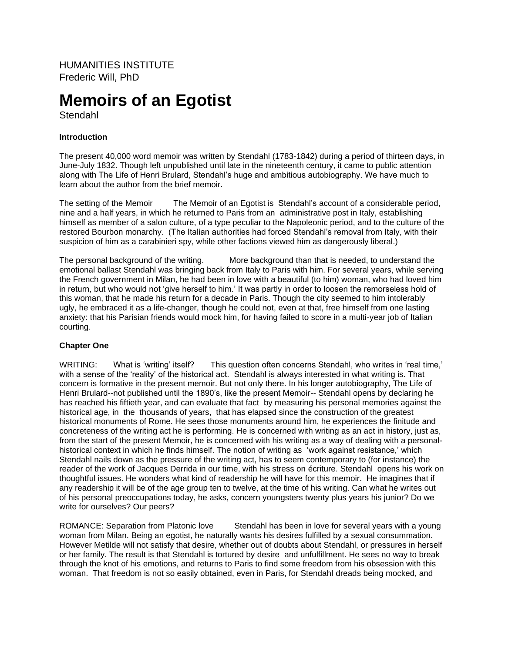HUMANITIES INSTITUTE Frederic Will, PhD

# **Memoirs of an Egotist**

Stendahl

# **Introduction**

The present 40,000 word memoir was written by Stendahl (1783-1842) during a period of thirteen days, in June-July 1832. Though left unpublished until late in the nineteenth century, it came to public attention along with The Life of Henri Brulard, Stendahl's huge and ambitious autobiography. We have much to learn about the author from the brief memoir.

The setting of the Memoir The Memoir of an Egotist is Stendahl's account of a considerable period, nine and a half years, in which he returned to Paris from an administrative post in Italy, establishing himself as member of a salon culture, of a type peculiar to the Napoleonic period, and to the culture of the restored Bourbon monarchy. (The Italian authorities had forced Stendahl's removal from Italy, with their suspicion of him as a carabinieri spy, while other factions viewed him as dangerously liberal.)

The personal background of the writing. More background than that is needed, to understand the emotional ballast Stendahl was bringing back from Italy to Paris with him. For several years, while serving the French government in Milan, he had been in love with a beautiful (to him) woman, who had loved him in return, but who would not 'give herself to him.' It was partly in order to loosen the remorseless hold of this woman, that he made his return for a decade in Paris. Though the city seemed to him intolerably ugly, he embraced it as a life-changer, though he could not, even at that, free himself from one lasting anxiety: that his Parisian friends would mock him, for having failed to score in a multi-year job of Italian courting.

# **Chapter One**

WRITING: What is 'writing' itself? This question often concerns Stendahl, who writes in 'real time,' with a sense of the 'reality' of the historical act. Stendahl is always interested in what writing is. That concern is formative in the present memoir. But not only there. In his longer autobiography, The Life of Henri Brulard--not published until the 1890's, like the present Memoir-- Stendahl opens by declaring he has reached his fiftieth year, and can evaluate that fact by measuring his personal memories against the historical age, in the thousands of years, that has elapsed since the construction of the greatest historical monuments of Rome. He sees those monuments around him, he experiences the finitude and concreteness of the writing act he is performing. He is concerned with writing as an act in history, just as, from the start of the present Memoir, he is concerned with his writing as a way of dealing with a personalhistorical context in which he finds himself. The notion of writing as 'work against resistance,' which Stendahl nails down as the pressure of the writing act, has to seem contemporary to (for instance) the reader of the work of Jacques Derrida in our time, with his stress on écriture. Stendahl opens his work on thoughtful issues. He wonders what kind of readership he will have for this memoir. He imagines that if any readership it will be of the age group ten to twelve, at the time of his writing. Can what he writes out of his personal preoccupations today, he asks, concern youngsters twenty plus years his junior? Do we write for ourselves? Our peers?

ROMANCE: Separation from Platonic love Stendahl has been in love for several years with a young woman from Milan. Being an egotist, he naturally wants his desires fulfilled by a sexual consummation. However Metilde will not satisfy that desire, whether out of doubts about Stendahl, or pressures in herself or her family. The result is that Stendahl is tortured by desire and unfulfillment. He sees no way to break through the knot of his emotions, and returns to Paris to find some freedom from his obsession with this woman. That freedom is not so easily obtained, even in Paris, for Stendahl dreads being mocked, and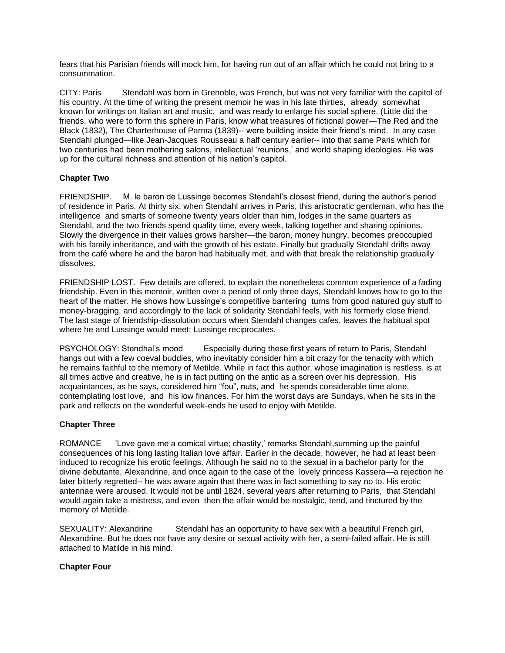fears that his Parisian friends will mock him, for having run out of an affair which he could not bring to a consummation.

CITY: Paris Stendahl was born in Grenoble, was French, but was not very familiar with the capitol of his country. At the time of writing the present memoir he was in his late thirties, already somewhat known for writings on Italian art and music, and was ready to enlarge his social sphere. (Little did the friends, who were to form this sphere in Paris, know what treasures of fictional power—The Red and the Black (1832), The Charterhouse of Parma (1839)-- were building inside their friend's mind. In any case Stendahl plunged—like Jean-Jacques Rousseau a half century earlier-- into that same Paris which for two centuries had been mothering salons, intellectual 'reunions,' and world shaping ideologies. He was up for the cultural richness and attention of his nation's capitol.

## **Chapter Two**

FRIENDSHIP. M. le baron de Lussinge becomes Stendahl's closest friend, during the author's period of residence in Paris. At thirty six, when Stendahl arrives in Paris, this aristocratic gentleman, who has the intelligence and smarts of someone twenty years older than him, lodges in the same quarters as Stendahl, and the two friends spend quality time, every week, talking together and sharing opinions. Slowly the divergence in their values grows harsher—the baron, money hungry, becomes preoccupied with his family inheritance, and with the growth of his estate. Finally but gradually Stendahl drifts away from the café where he and the baron had habitually met, and with that break the relationship gradually dissolves.

FRIENDSHIP LOST. Few details are offered, to explain the nonetheless common experience of a fading friendship. Even in this memoir, written over a period of only three days, Stendahl knows how to go to the heart of the matter. He shows how Lussinge's competitive bantering turns from good natured guy stuff to money-bragging, and accordingly to the lack of solidarity Stendahl feels, with his formerly close friend. The last stage of friendship-dissolution occurs when Stendahl changes cafes, leaves the habitual spot where he and Lussinge would meet; Lussinge reciprocates.

PSYCHOLOGY: Stendhal's mood Especially during these first years of return to Paris, Stendahl hangs out with a few coeval buddies, who inevitably consider him a bit crazy for the tenacity with which he remains faithful to the memory of Metilde. While in fact this author, whose imagination is restless, is at all times active and creative, he is in fact putting on the antic as a screen over his depression. His acquaintances, as he says, considered him "fou", nuts, and he spends considerable time alone, contemplating lost love, and his low finances. For him the worst days are Sundays, when he sits in the park and reflects on the wonderful week-ends he used to enjoy with Metilde.

#### **Chapter Three**

ROMANCE 'Love gave me a comical virtue; chastity,' remarks Stendahl,summing up the painful consequences of his long lasting Italian love affair. Earlier in the decade, however, he had at least been induced to recognize his erotic feelings. Although he said no to the sexual in a bachelor party for the divine debutante, Alexandrine, and once again to the case of the lovely princess Kassera—a rejection he later bitterly regretted-- he was aware again that there was in fact something to say no to. His erotic antennae were aroused. It would not be until 1824, several years after returning to Paris, that Stendahl would again take a mistress, and even then the affair would be nostalgic, tend, and tinctured by the memory of Metilde.

SEXUALITY: Alexandrine Stendahl has an opportunity to have sex with a beautiful French girl, Alexandrine. But he does not have any desire or sexual activity with her, a semi-failed affair. He is still attached to Matilde in his mind.

#### **Chapter Four**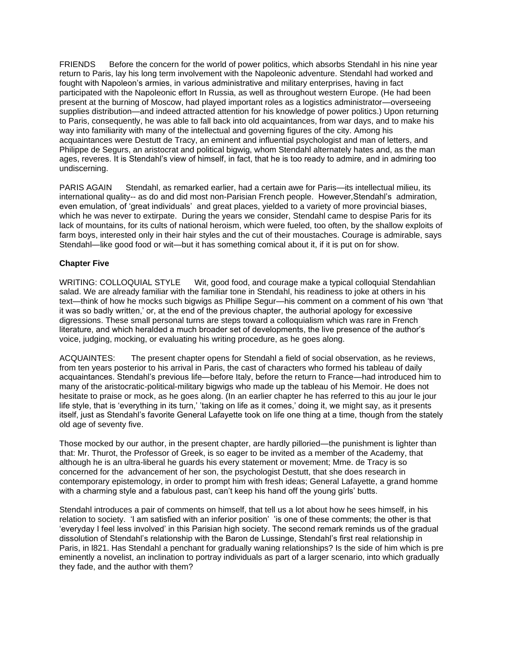FRIENDS Before the concern for the world of power politics, which absorbs Stendahl in his nine year return to Paris, lay his long term involvement with the Napoleonic adventure. Stendahl had worked and fought with Napoleon's armies, in various administrative and military enterprises, having in fact participated with the Napoleonic effort In Russia, as well as throughout western Europe. (He had been present at the burning of Moscow, had played important roles as a logistics administrator—overseeing supplies distribution—and indeed attracted attention for his knowledge of power politics.) Upon returning to Paris, consequently, he was able to fall back into old acquaintances, from war days, and to make his way into familiarity with many of the intellectual and governing figures of the city. Among his acquaintances were Destutt de Tracy, an eminent and influential psychologist and man of letters, and Philippe de Segurs, an aristocrat and political bigwig, whom Stendahl alternately hates and, as the man ages, reveres. It is Stendahl's view of himself, in fact, that he is too ready to admire, and in admiring too undiscerning.

PARIS AGAIN Stendahl, as remarked earlier, had a certain awe for Paris—its intellectual milieu, its international quality-- as do and did most non-Parisian French people. However,Stendahl's admiration, even emulation, of 'great individuals' and great places, yielded to a variety of more provincial biases, which he was never to extirpate. During the years we consider, Stendahl came to despise Paris for its lack of mountains, for its cults of national heroism, which were fueled, too often, by the shallow exploits of farm boys, interested only in their hair styles and the cut of their moustaches. Courage is admirable, says Stendahl—like good food or wit—but it has something comical about it, if it is put on for show.

## **Chapter Five**

WRITING: COLLOQUIAL STYLE Wit, good food, and courage make a typical colloquial Stendahlian salad. We are already familiar with the familiar tone in Stendahl, his readiness to joke at others in his text—think of how he mocks such bigwigs as Phillipe Segur—his comment on a comment of his own 'that it was so badly written,' or, at the end of the previous chapter, the authorial apology for excessive digressions. These small personal turns are steps toward a colloquialism which was rare in French literature, and which heralded a much broader set of developments, the live presence of the author's voice, judging, mocking, or evaluating his writing procedure, as he goes along.

ACQUAINTES: The present chapter opens for Stendahl a field of social observation, as he reviews, from ten years posterior to his arrival in Paris, the cast of characters who formed his tableau of daily acquaintances. Stendahl's previous life—before Italy, before the return to France—had introduced him to many of the aristocratic-political-military bigwigs who made up the tableau of his Memoir. He does not hesitate to praise or mock, as he goes along. (In an earlier chapter he has referred to this au jour le jour life style, that is 'everything in its turn,' 'taking on life as it comes,' doing it, we might say, as it presents itself, just as Stendahl's favorite General Lafayette took on life one thing at a time, though from the stately old age of seventy five.

Those mocked by our author, in the present chapter, are hardly pilloried—the punishment is lighter than that: Mr. Thurot, the Professor of Greek, is so eager to be invited as a member of the Academy, that although he is an ultra-liberal he guards his every statement or movement; Mme. de Tracy is so concerned for the advancement of her son, the psychologist Destutt, that she does research in contemporary epistemology, in order to prompt him with fresh ideas; General Lafayette, a grand homme with a charming style and a fabulous past, can't keep his hand off the young girls' butts.

Stendahl introduces a pair of comments on himself, that tell us a lot about how he sees himself, in his relation to society. 'I am satisfied with an inferior position' 'is one of these comments; the other is that 'everyday I feel less involved' in this Parisian high society. The second remark reminds us of the gradual dissolution of Stendahl's relationship with the Baron de Lussinge, Stendahl's first real relationship in Paris, in l821. Has Stendahl a penchant for gradually waning relationships? Is the side of him which is pre eminently a novelist, an inclination to portray individuals as part of a larger scenario, into which gradually they fade, and the author with them?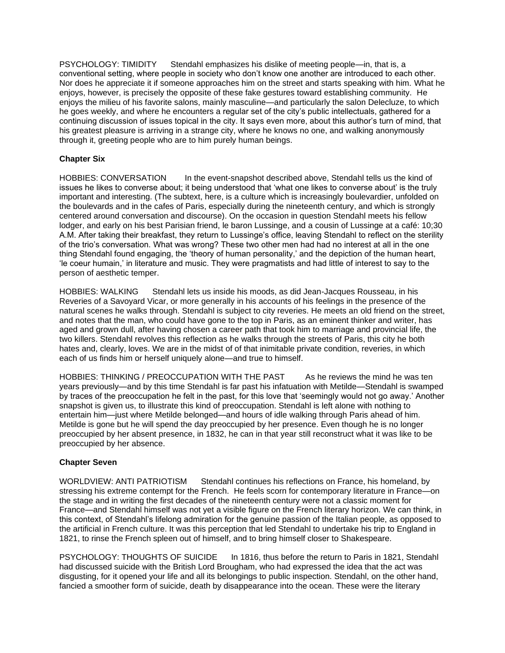PSYCHOLOGY: TIMIDITY Stendahl emphasizes his dislike of meeting people—in, that is, a conventional setting, where people in society who don't know one another are introduced to each other. Nor does he appreciate it if someone approaches him on the street and starts speaking with him. What he enjoys, however, is precisely the opposite of these fake gestures toward establishing community. He enjoys the milieu of his favorite salons, mainly masculine—and particularly the salon Delecluze, to which he goes weekly, and where he encounters a regular set of the city's public intellectuals, gathered for a continuing discussion of issues topical in the city. It says even more, about this author's turn of mind, that his greatest pleasure is arriving in a strange city, where he knows no one, and walking anonymously through it, greeting people who are to him purely human beings.

# **Chapter Six**

HOBBIES: CONVERSATION In the event-snapshot described above, Stendahl tells us the kind of issues he likes to converse about; it being understood that 'what one likes to converse about' is the truly important and interesting. (The subtext, here, is a culture which is increasingly boulevardier, unfolded on the boulevards and in the cafes of Paris, especially during the nineteenth century, and which is strongly centered around conversation and discourse). On the occasion in question Stendahl meets his fellow lodger, and early on his best Parisian friend, le baron Lussinge, and a cousin of Lussinge at a café: 10;30 A.M. After taking their breakfast, they return to Lussinge's office, leaving Stendahl to reflect on the sterility of the trio's conversation. What was wrong? These two other men had had no interest at all in the one thing Stendahl found engaging, the 'theory of human personality,' and the depiction of the human heart, 'le coeur humain,' in literature and music. They were pragmatists and had little of interest to say to the person of aesthetic temper.

HOBBIES: WALKING Stendahl lets us inside his moods, as did Jean-Jacques Rousseau, in his Reveries of a Savoyard Vicar, or more generally in his accounts of his feelings in the presence of the natural scenes he walks through. Stendahl is subject to city reveries. He meets an old friend on the street, and notes that the man, who could have gone to the top in Paris, as an eminent thinker and writer, has aged and grown dull, after having chosen a career path that took him to marriage and provincial life, the two killers. Stendahl revolves this reflection as he walks through the streets of Paris, this city he both hates and, clearly, loves. We are in the midst of of that inimitable private condition, reveries, in which each of us finds him or herself uniquely alone—and true to himself.

HOBBIES: THINKING / PREOCCUPATION WITH THE PAST As he reviews the mind he was ten years previously—and by this time Stendahl is far past his infatuation with Metilde—Stendahl is swamped by traces of the preoccupation he felt in the past, for this love that 'seemingly would not go away.' Another snapshot is given us, to illustrate this kind of preoccupation. Stendahl is left alone with nothing to entertain him—just where Metilde belonged—and hours of idle walking through Paris ahead of him. Metilde is gone but he will spend the day preoccupied by her presence. Even though he is no longer preoccupied by her absent presence, in 1832, he can in that year still reconstruct what it was like to be preoccupied by her absence.

# **Chapter Seven**

WORLDVIEW: ANTI PATRIOTISM Stendahl continues his reflections on France, his homeland, by stressing his extreme contempt for the French. He feels scorn for contemporary literature in France—on the stage and in writing the first decades of the nineteenth century were not a classic moment for France—and Stendahl himself was not yet a visible figure on the French literary horizon. We can think, in this context, of Stendahl's lifelong admiration for the genuine passion of the Italian people, as opposed to the artificial in French culture. It was this perception that led Stendahl to undertake his trip to England in 1821, to rinse the French spleen out of himself, and to bring himself closer to Shakespeare.

PSYCHOLOGY: THOUGHTS OF SUICIDE In 1816, thus before the return to Paris in 1821, Stendahl had discussed suicide with the British Lord Brougham, who had expressed the idea that the act was disgusting, for it opened your life and all its belongings to public inspection. Stendahl, on the other hand, fancied a smoother form of suicide, death by disappearance into the ocean. These were the literary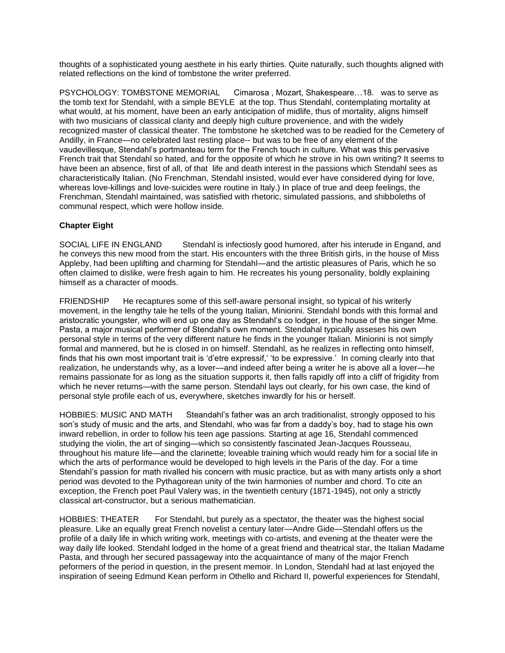thoughts of a sophisticated young aesthete in his early thirties. Quite naturally, such thoughts aligned with related reflections on the kind of tombstone the writer preferred.

PSYCHOLOGY: TOMBSTONE MEMORIAL Cimarosa , Mozart, Shakespeare…18. was to serve as the tomb text for Stendahl, with a simple BEYLE at the top. Thus Stendahl, contemplating mortality at what would, at his moment, have been an early anticipation of midlife, thus of mortality, aligns himself with two musicians of classical clarity and deeply high culture provenience, and with the widely recognized master of classical theater. The tombstone he sketched was to be readied for the Cemetery of Andilly, in France—no celebrated last resting place-- but was to be free of any element of the vaudevillesque, Stendahl's portmanteau term for the French touch in culture. What was this pervasive French trait that Stendahl so hated, and for the opposite of which he strove in his own writing? It seems to have been an absence, first of all, of that life and death interest in the passions which Stendahl sees as characteristically Italian. (No Frenchman, Stendahl insisted, would ever have considered dying for love, whereas love-killings and love-suicides were routine in Italy.) In place of true and deep feelings, the Frenchman, Stendahl maintained, was satisfied with rhetoric, simulated passions, and shibboleths of communal respect, which were hollow inside.

# **Chapter Eight**

SOCIAL LIFE IN ENGLAND Stendahl is infectiosly good humored, after his interude in Engand, and he conveys this new mood from the start. His encounters with the three British girls, in the house of Miss Appleby, had been uplifting and charming for Stendahl—and the artistic pleasures of Paris, which he so often claimed to dislike, were fresh again to him. He recreates his young personality, boldly explaining himself as a character of moods.

FRIENDSHIP He recaptures some of this self-aware personal insight, so typical of his writerly movement, in the lengthy tale he tells of the young Italian, Miniorini. Stendahl bonds with this formal and aristocratic youngster, who will end up one day as Stendahl's co lodger, in the house of the singer Mme. Pasta, a major musical performer of Stendahl's own moment. Stendahal typically asseses his own personal style in terms of the very different nature he finds in the younger Italian. Miniorini is not simply formal and mannered, but he is closed in on himself. Stendahl, as he realizes in reflecting onto himself, finds that his own most important trait is 'd'etre expressif,' 'to be expressive.' In coming clearly into that realization, he understands why, as a lover—and indeed after being a writer he is above all a lover—he remains passionate for as long as the situation supports it, then falls rapidly off into a cliff of frigidity from which he never returns—with the same person. Stendahl lays out clearly, for his own case, the kind of personal style profile each of us, everywhere, sketches inwardly for his or herself.

HOBBIES: MUSIC AND MATH Steandahl's father was an arch traditionalist, strongly opposed to his son's study of music and the arts, and Stendahl, who was far from a daddy's boy, had to stage his own inward rebellion, in order to follow his teen age passions. Starting at age 16, Stendahl commenced studying the violin, the art of singing—which so consistently fascinated Jean-Jacques Rousseau, throughout his mature life—and the clarinette; loveable training which would ready him for a social life in which the arts of performance would be developed to high levels in the Paris of the day. For a time Stendahl's passion for math rivalled his concern with music practice, but as with many artists only a short period was devoted to the Pythagorean unity of the twin harmonies of number and chord. To cite an exception, the French poet Paul Valery was, in the twentieth century (1871-1945), not only a strictly classical art-constructor, but a serious mathematician.

HOBBIES: THEATER For Stendahl, but purely as a spectator, the theater was the highest social pleasure. Like an equally great French novelist a century later—Andre Gide—Stendahl offers us the profile of a daily life in which writing work, meetings with co-artists, and evening at the theater were the way daily life looked. Stendahl lodged in the home of a great friend and theatrical star, the Italian Madame Pasta, and through her secured passageway into the acquaintance of many of the major French peformers of the period in question, in the present memoir. In London, Stendahl had at last enjoyed the inspiration of seeing Edmund Kean perform in Othello and Richard II, powerful experiences for Stendahl,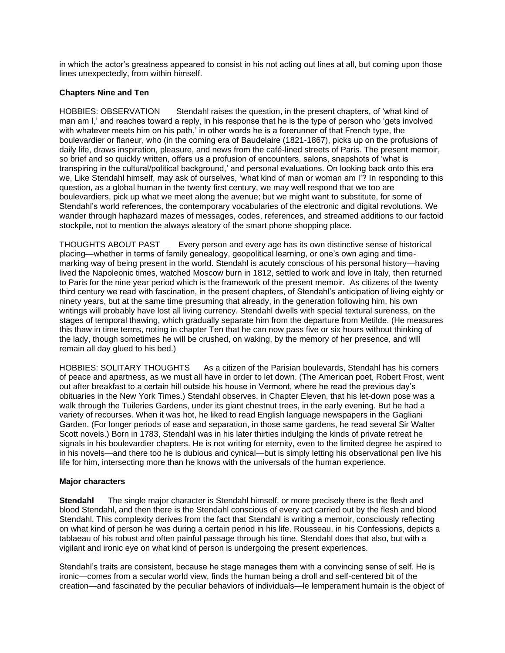in which the actor's greatness appeared to consist in his not acting out lines at all, but coming upon those lines unexpectedly, from within himself.

#### **Chapters Nine and Ten**

HOBBIES: OBSERVATION Stendahl raises the question, in the present chapters, of 'what kind of man am I,' and reaches toward a reply, in his response that he is the type of person who 'gets involved with whatever meets him on his path,' in other words he is a forerunner of that French type, the boulevardier or flaneur, who (in the coming era of Baudelaire (1821-1867), picks up on the profusions of daily life, draws inspiration, pleasure, and news from the café-lined streets of Paris. The present memoir, so brief and so quickly written, offers us a profusion of encounters, salons, snapshots of 'what is transpiring in the cultural/political background,' and personal evaluations. On looking back onto this era we, Like Stendahl himself, may ask of ourselves, 'what kind of man or woman am I'? In responding to this question, as a global human in the twenty first century, we may well respond that we too are boulevardiers, pick up what we meet along the avenue; but we might want to substitute, for some of Stendahl's world references, the contemporary vocabularies of the electronic and digital revolutions. We wander through haphazard mazes of messages, codes, references, and streamed additions to our factoid stockpile, not to mention the always aleatory of the smart phone shopping place.

THOUGHTS ABOUT PAST Every person and every age has its own distinctive sense of historical placing—whether in terms of family genealogy, geopolitical learning, or one's own aging and timemarking way of being present in the world. Stendahl is acutely conscious of his personal history—having lived the Napoleonic times, watched Moscow burn in 1812, settled to work and love in Italy, then returned to Paris for the nine year period which is the framework of the present memoir. As citizens of the twenty third century we read with fascination, in the present chapters, of Stendahl's anticipation of living eighty or ninety years, but at the same time presuming that already, in the generation following him, his own writings will probably have lost all living currency. Stendahl dwells with special textural sureness, on the stages of temporal thawing, which gradually separate him from the departure from Metilde. (He measures this thaw in time terms, noting in chapter Ten that he can now pass five or six hours without thinking of the lady, though sometimes he will be crushed, on waking, by the memory of her presence, and will remain all day glued to his bed.)

HOBBIES: SOLITARY THOUGHTS As a citizen of the Parisian boulevards, Stendahl has his corners of peace and apartness, as we must all have in order to let down. (The American poet, Robert Frost, went out after breakfast to a certain hill outside his house in Vermont, where he read the previous day's obituaries in the New York Times.) Stendahl observes, in Chapter Eleven, that his let-down pose was a walk through the Tuileries Gardens, under its giant chestnut trees, in the early evening. But he had a variety of recourses. When it was hot, he liked to read English language newspapers in the Gagliani Garden. (For longer periods of ease and separation, in those same gardens, he read several Sir Walter Scott novels.) Born in 1783, Stendahl was in his later thirties indulging the kinds of private retreat he signals in his boulevardier chapters. He is not writing for eternity, even to the limited degree he aspired to in his novels—and there too he is dubious and cynical—but is simply letting his observational pen live his life for him, intersecting more than he knows with the universals of the human experience.

#### **Major characters**

**Stendahl** The single major character is Stendahl himself, or more precisely there is the flesh and blood Stendahl, and then there is the Stendahl conscious of every act carried out by the flesh and blood Stendahl. This complexity derives from the fact that Stendahl is writing a memoir, consciously reflecting on what kind of person he was during a certain period in his life. Rousseau, in his Confessions, depicts a tablaeau of his robust and often painful passage through his time. Stendahl does that also, but with a vigilant and ironic eye on what kind of person is undergoing the present experiences.

Stendahl's traits are consistent, because he stage manages them with a convincing sense of self. He is ironic—comes from a secular world view, finds the human being a droll and self-centered bit of the creation—and fascinated by the peculiar behaviors of individuals—le lemperament humain is the object of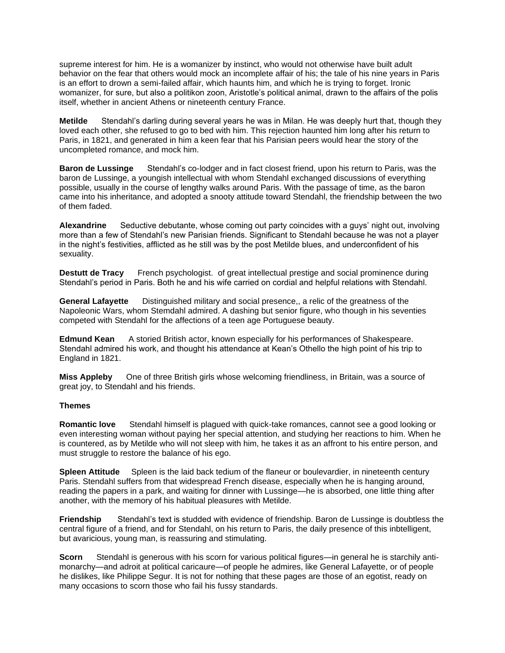supreme interest for him. He is a womanizer by instinct, who would not otherwise have built adult behavior on the fear that others would mock an incomplete affair of his; the tale of his nine years in Paris is an effort to drown a semi-failed affair, which haunts him, and which he is trying to forget. Ironic womanizer, for sure, but also a politikon zoon, Aristotle's political animal, drawn to the affairs of the polis itself, whether in ancient Athens or nineteenth century France.

**Metilde** Stendahl's darling during several years he was in Milan. He was deeply hurt that, though they loved each other, she refused to go to bed with him. This rejection haunted him long after his return to Paris, in 1821, and generated in him a keen fear that his Parisian peers would hear the story of the uncompleted romance, and mock him.

**Baron de Lussinge** Stendahl's co-lodger and in fact closest friend, upon his return to Paris, was the baron de Lussinge, a youngish intellectual with whom Stendahl exchanged discussions of everything possible, usually in the course of lengthy walks around Paris. With the passage of time, as the baron came into his inheritance, and adopted a snooty attitude toward Stendahl, the friendship between the two of them faded.

**Alexandrine** Seductive debutante, whose coming out party coincides with a guys' night out, involving more than a few of Stendahl's new Parisian friends. Significant to Stendahl because he was not a player in the night's festivities, afflicted as he still was by the post Metilde blues, and underconfident of his sexuality.

**Destutt de Tracy** French psychologist. of great intellectual prestige and social prominence during Stendahl's period in Paris. Both he and his wife carried on cordial and helpful relations with Stendahl.

**General Lafayette** Distinguished military and social presence,, a relic of the greatness of the Napoleonic Wars, whom Stemdahl admired. A dashing but senior figure, who though in his seventies competed with Stendahl for the affections of a teen age Portuguese beauty.

**Edmund Kean** A storied British actor, known especially for his performances of Shakespeare. Stendahl admired his work, and thought his attendance at Kean's Othello the high point of his trip to England in 1821.

**Miss Appleby** One of three British girls whose welcoming friendliness, in Britain, was a source of great joy, to Stendahl and his friends.

#### **Themes**

**Romantic love** Stendahl himself is plagued with quick-take romances, cannot see a good looking or even interesting woman without paying her special attention, and studying her reactions to him. When he is countered, as by Metilde who will not sleep with him, he takes it as an affront to his entire person, and must struggle to restore the balance of his ego.

**Spleen Attitude** Spleen is the laid back tedium of the flaneur or boulevardier, in nineteenth century Paris. Stendahl suffers from that widespread French disease, especially when he is hanging around, reading the papers in a park, and waiting for dinner with Lussinge—he is absorbed, one little thing after another, with the memory of his habitual pleasures with Metilde.

**Friendship** Stendahl's text is studded with evidence of friendship. Baron de Lussinge is doubtless the central figure of a friend, and for Stendahl, on his return to Paris, the daily presence of this inbtelligent, but avaricious, young man, is reassuring and stimulating.

**Scorn** Stendahl is generous with his scorn for various political figures—in general he is starchily antimonarchy—and adroit at political caricaure—of people he admires, like General Lafayette, or of people he dislikes, like Philippe Segur. It is not for nothing that these pages are those of an egotist, ready on many occasions to scorn those who fail his fussy standards.